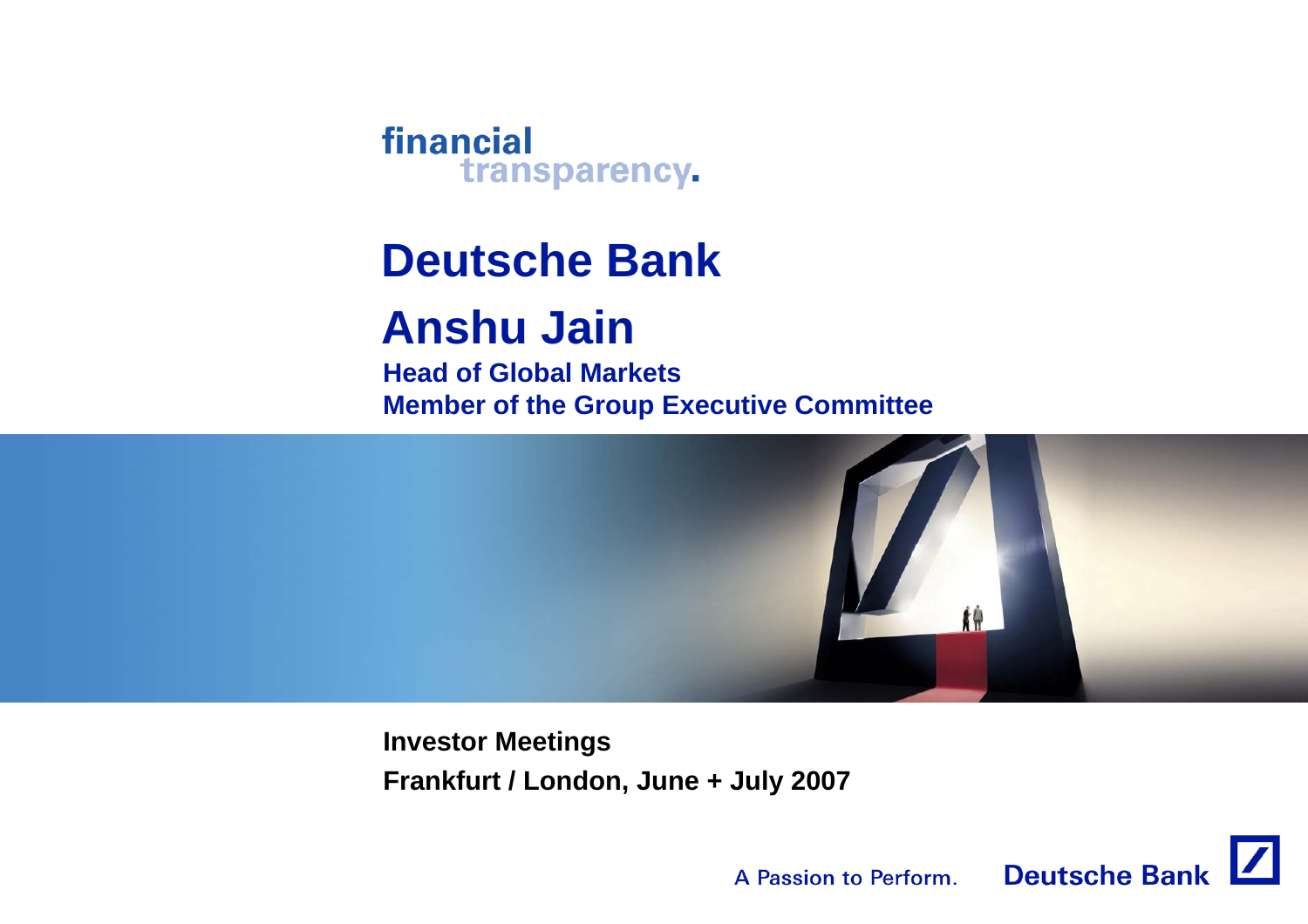financial transparency.

# **Deutsche Bank**

# **Anshu Jain**

**Head of Global MarketsMember of the Group Executive Committee**



**Investor Meetings Frankfurt / London, June + July 2007**

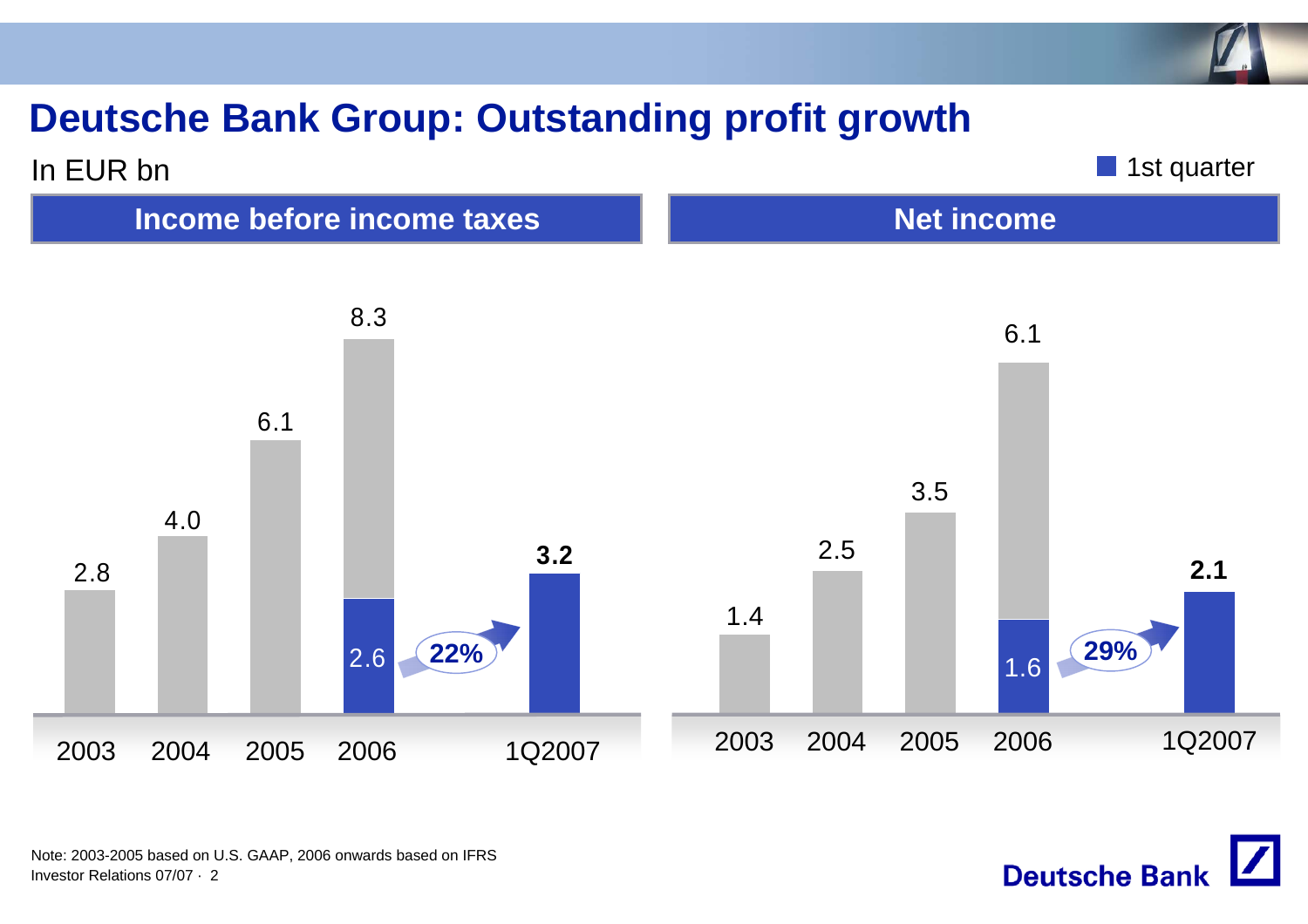## **Deutsche Bank Group: Outstanding profit growth**





**Deutsche Bank** 

Investor Relations 07/07 · 2Note: 2003-2005 based on U.S. GAAP, 2006 onwards based on IFRS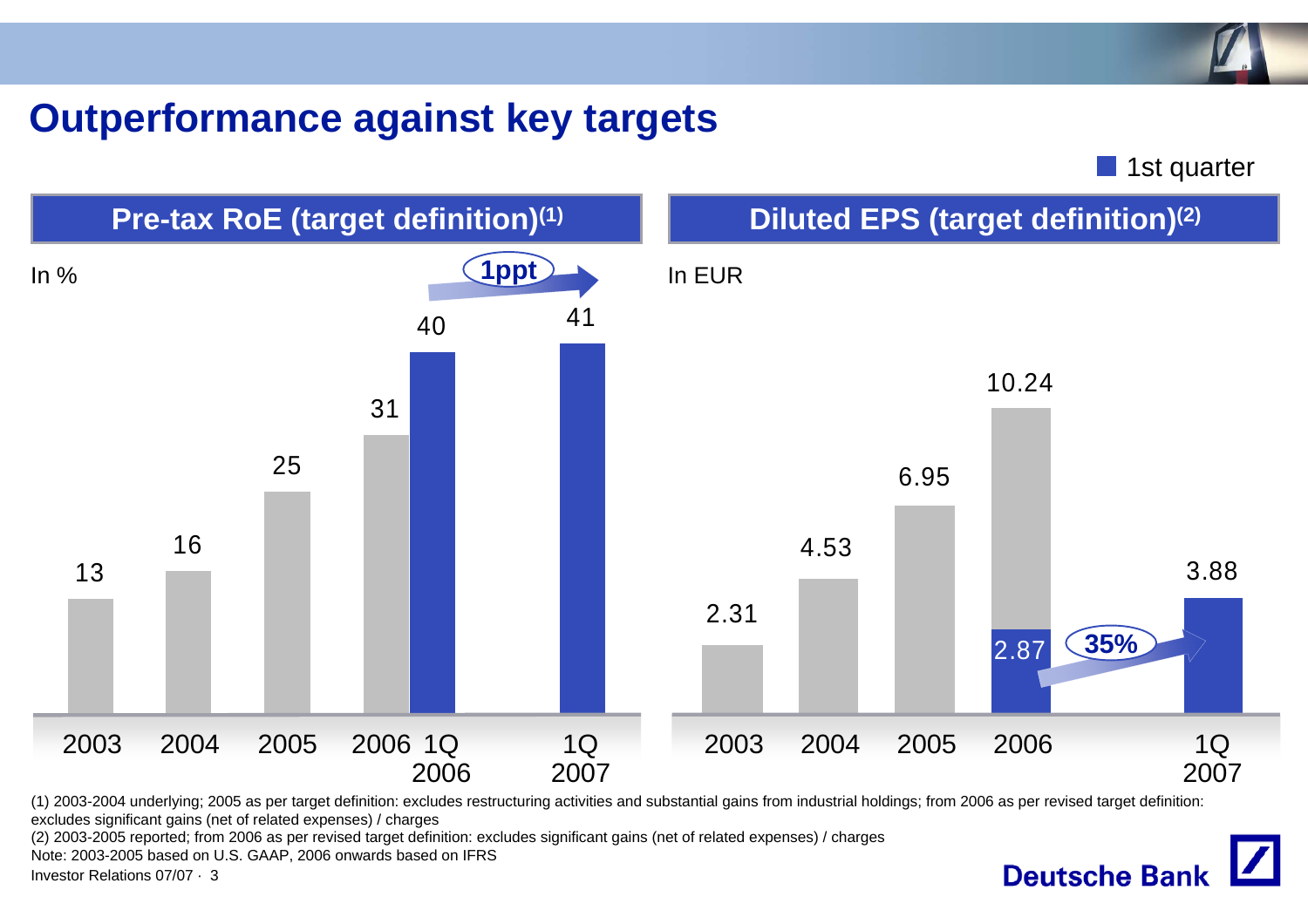#### **Outperformance against key targets**

**1st quarter** 

**Deutsche Bank** 



(1) 2003-2004 underlying; 2005 as per target definition: excludes restructuring activities and substantial gains from industrial holdings; from 2006 as per revised target definition: excludes significant gains (net of related expenses) / charges

(2) 2003-2005 reported; from 2006 as per revised target definition: excludes significant gains (net of related expenses) / charges

Note: 2003-2005 based on U.S. GAAP, 2006 onwards based on IFRS

Investor Relations 07/07 · 3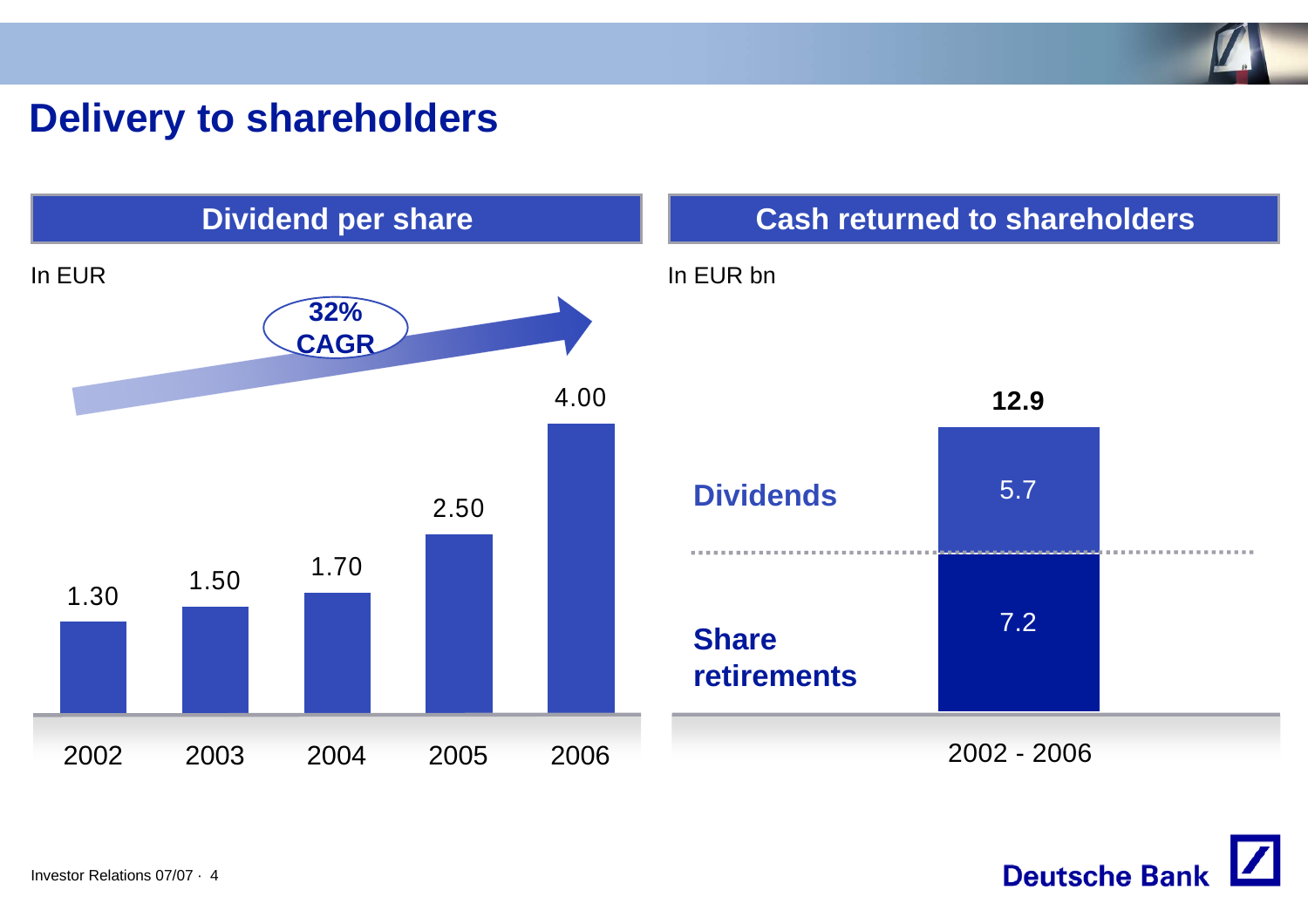

#### **Delivery to shareholders**



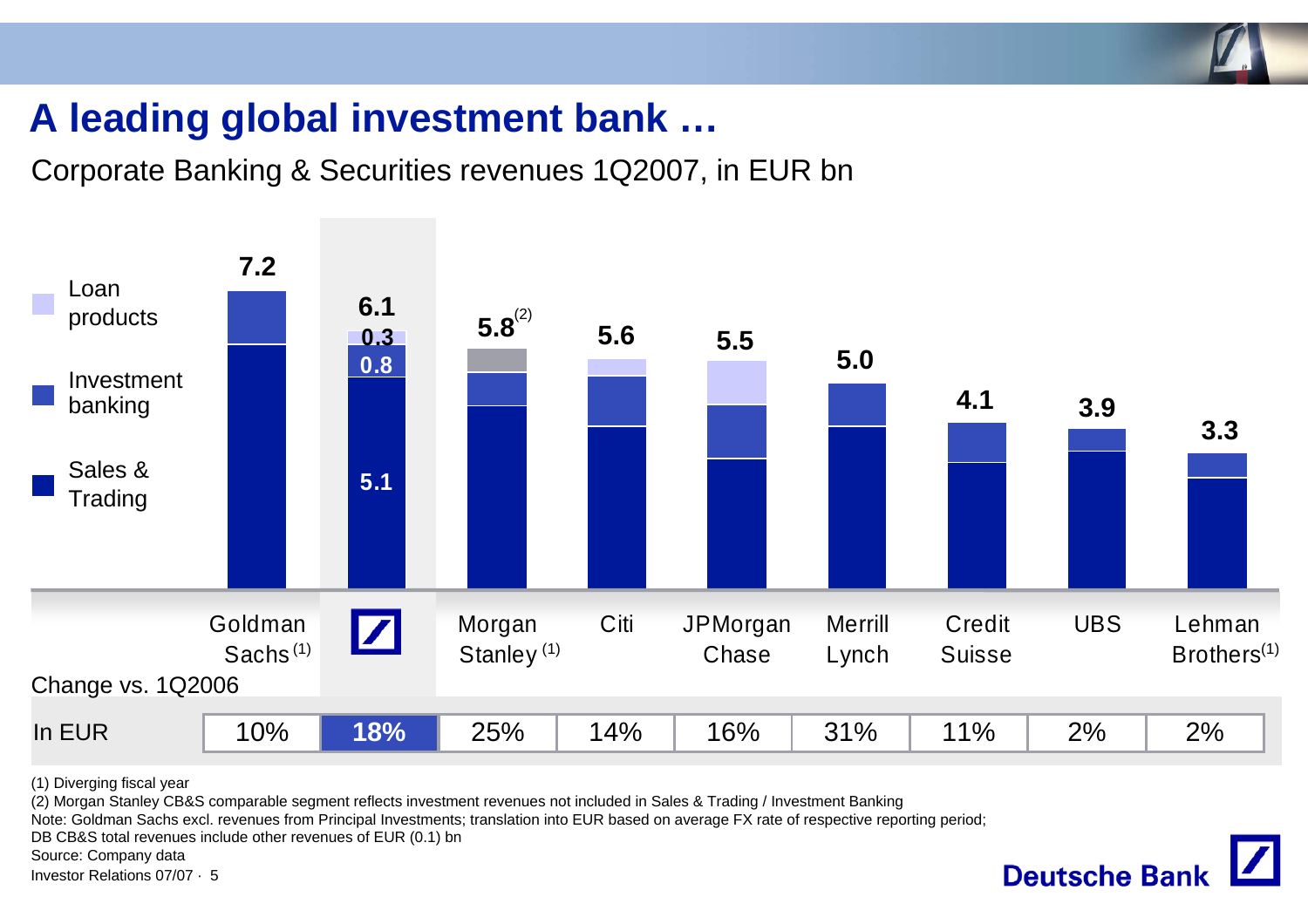

## **A leading global investment bank …**

Corporate Banking & Securities revenues 1Q2007, in EUR bn



(1) Diverging fiscal year

(2) Morgan Stanley CB&S comparable segment reflects investment revenues not included in Sales & Trading / Investment Banking

Note: Goldman Sachs excl. revenues from Principal Investments; translation into EUR based on average FX rate of respective reporting period;

DB CB&S total revenues include other revenues of EUR (0.1) bn

Source: Company data

Investor Relations 07/07 · 5

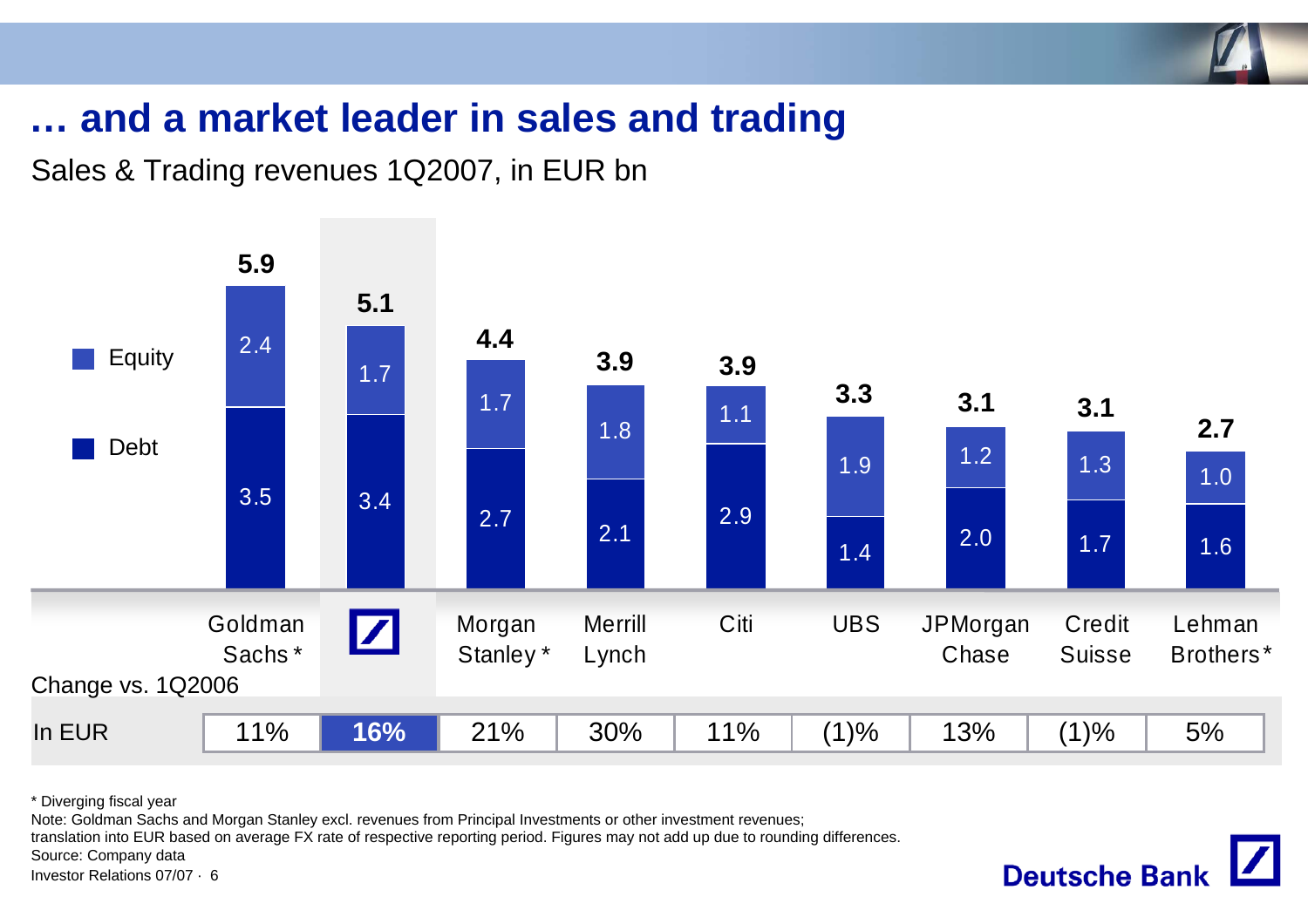

**Deutsche Bank** 

### **… and a market leader in sales and trading**

Sales & Trading revenues 1Q2007, in EUR bn



\* Diverging fiscal year

Note: Goldman Sachs and Morgan Stanley excl. revenues from Principal Investments or other investment revenues;

translation into EUR based on average FX rate of respective reporting period. Figures may not add up due to rounding differences.

Source: Company data

Investor Relations 07/07 · 6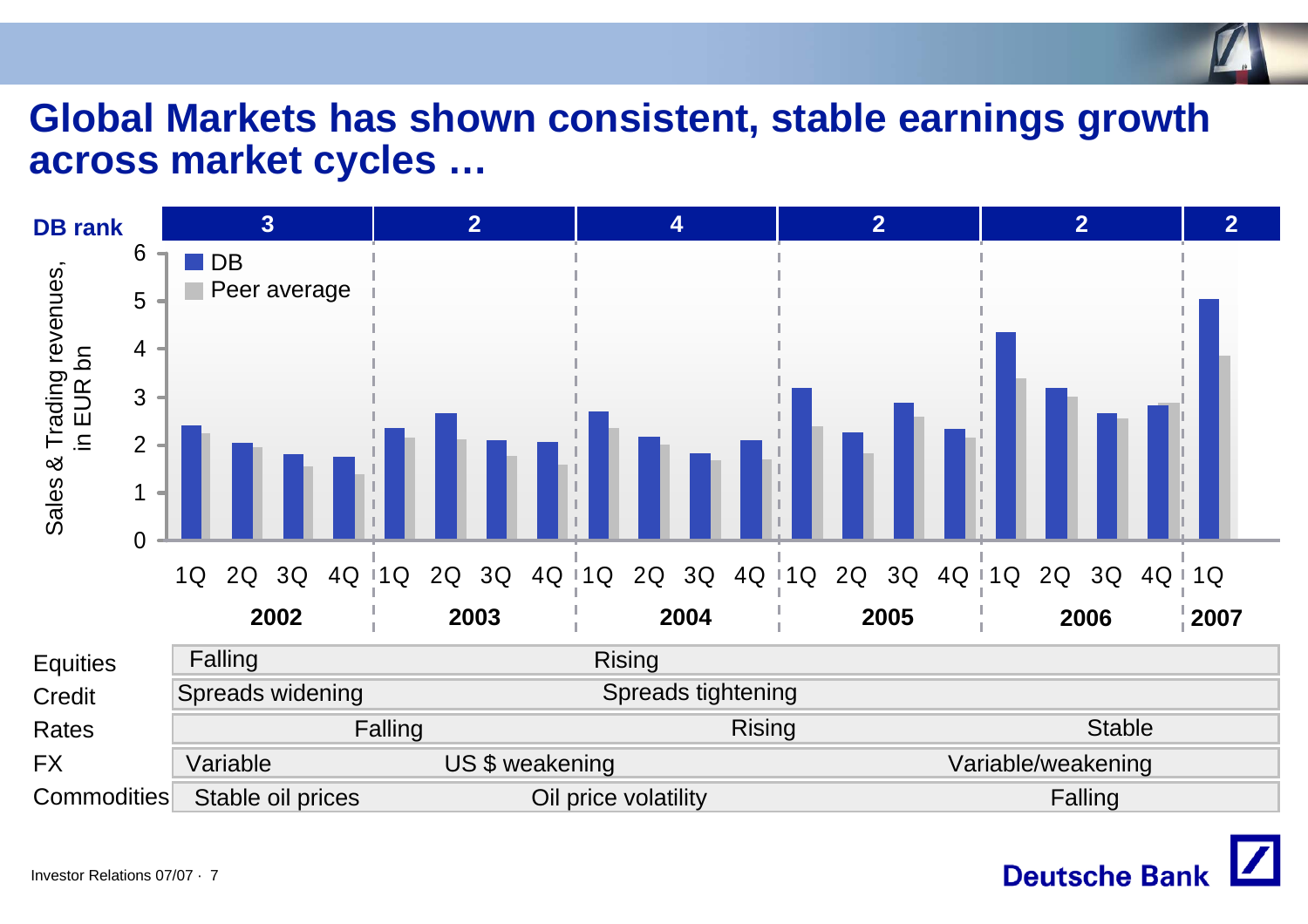# **Global Markets has shown consistent, stable earnings growth across market cycles …**



![](_page_6_Picture_2.jpeg)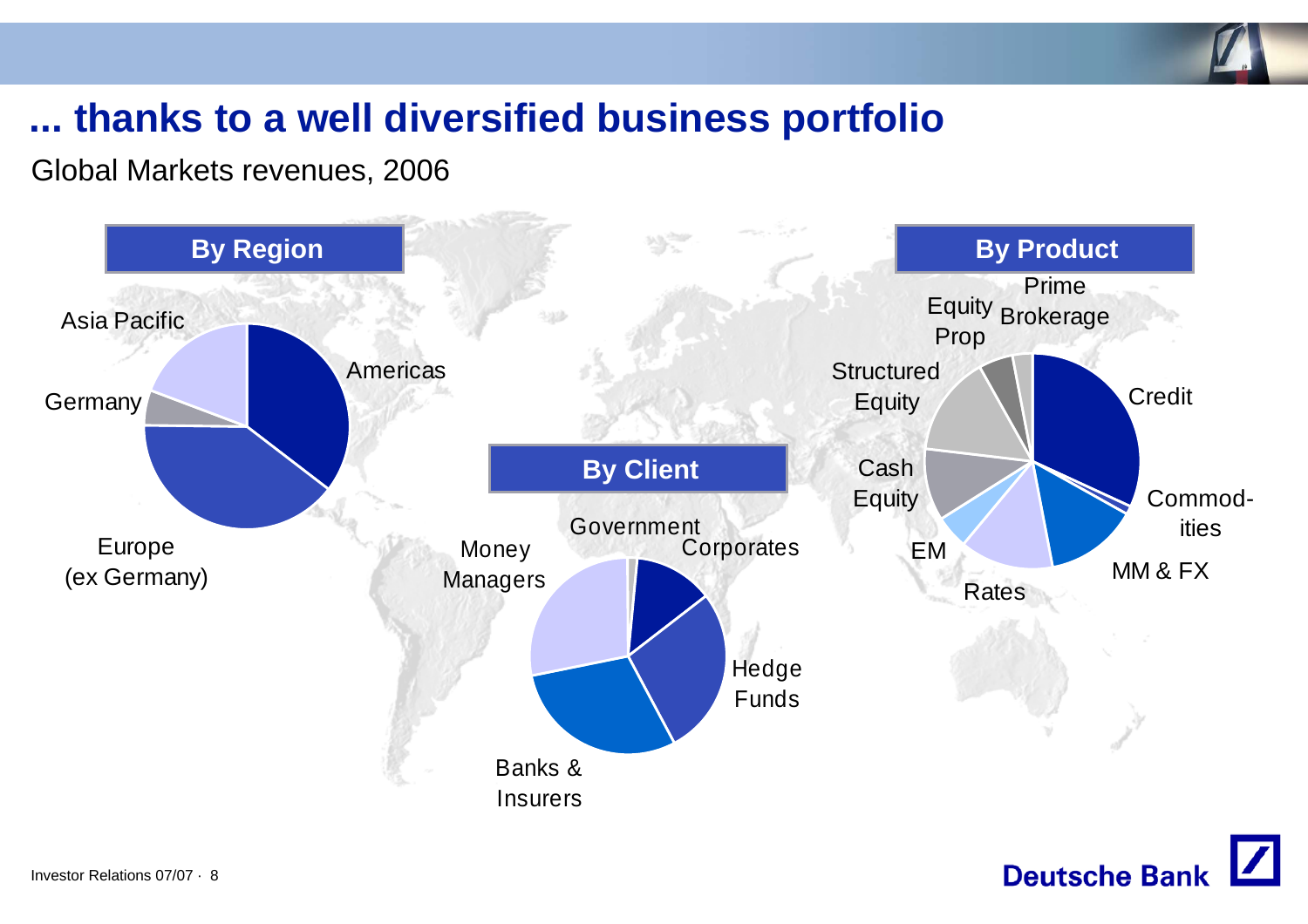![](_page_7_Picture_0.jpeg)

## **... thanks to a well diversified business portfolio**

Global Markets revenues, 2006

![](_page_7_Figure_3.jpeg)

![](_page_7_Picture_4.jpeg)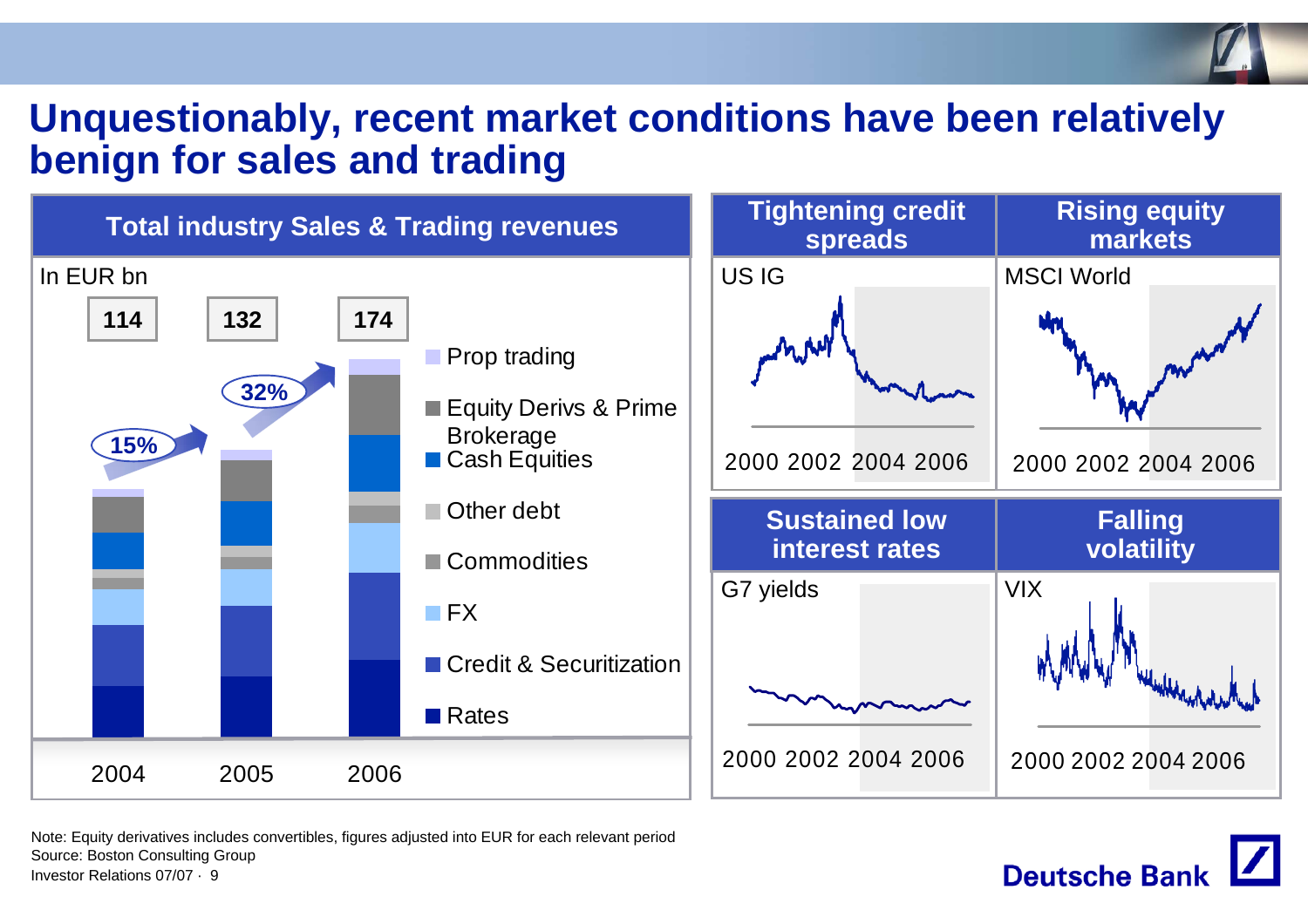#### **Unquestionably, recent market conditions have been relatively benign for sales and trading**

![](_page_8_Figure_1.jpeg)

**Deutsche Bank** 

Investor Relations 07/07 · 9Note: Equity derivatives includes convertibles, figures adjusted into EUR for each relevant period Source: Boston Consulting Group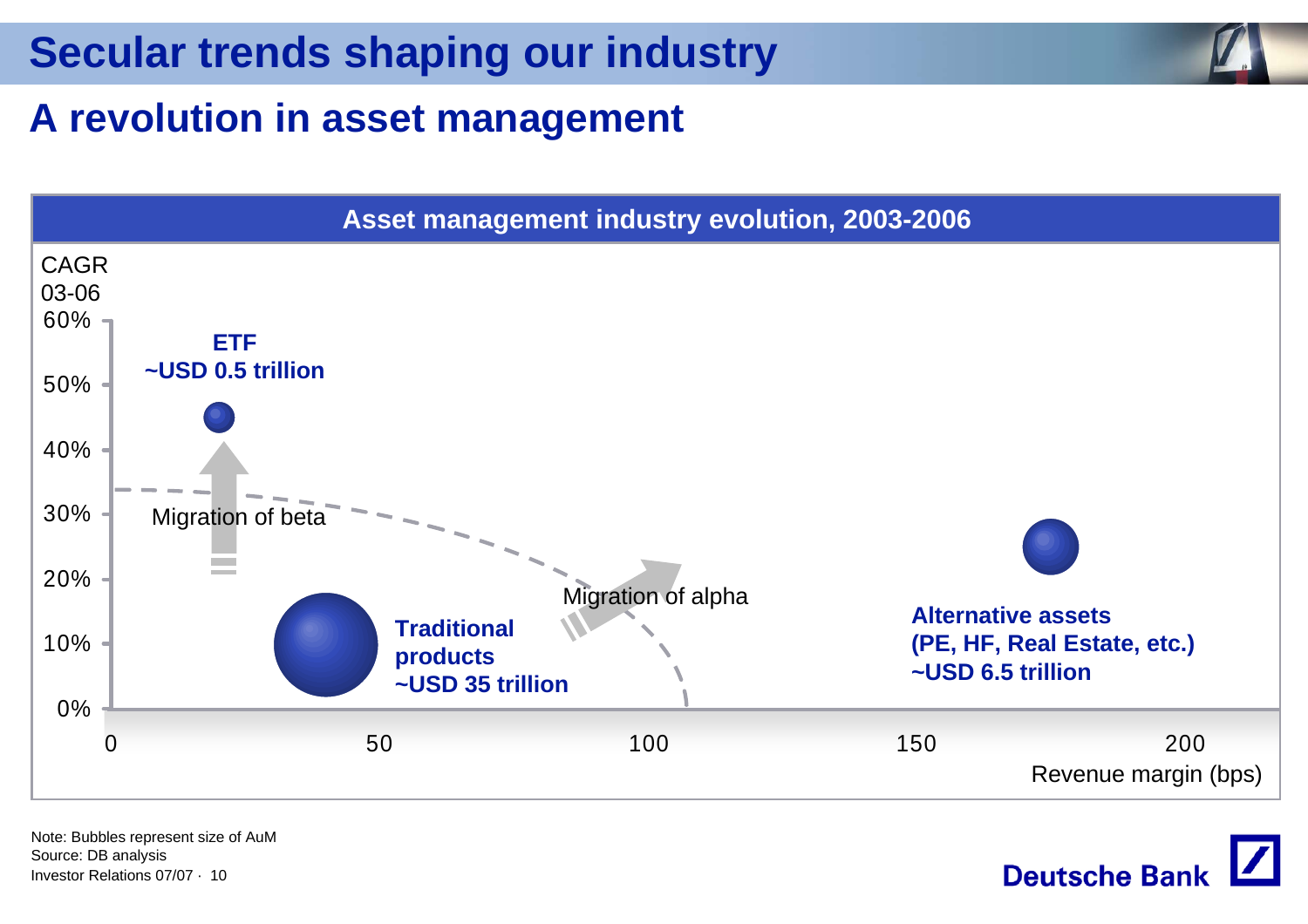## **A revolution in asset management**

![](_page_9_Figure_3.jpeg)

Investor Relations 07/07 · 10Note: Bubbles represent size of AuM Source: DB analysis

**Deutsche Bank**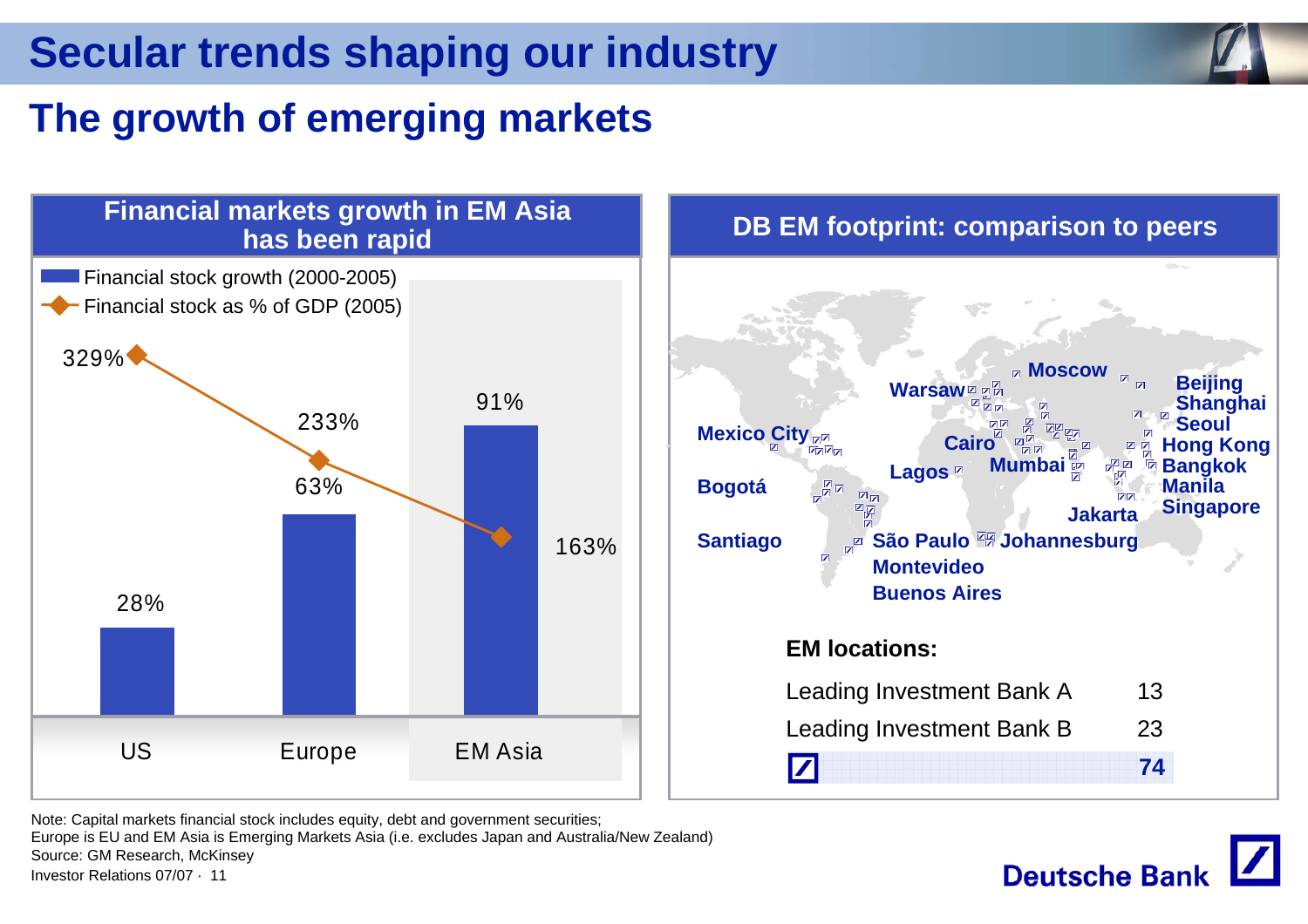## **The growth of emerging markets**

![](_page_10_Figure_3.jpeg)

![](_page_10_Figure_4.jpeg)

Note: Capital markets financial stock includes equity, debt and government securities;

Investor Relations 07/07 · 11Europe is EU and EM Asia is Emerging Markets Asia (i.e. excludes Japan and Australia/New Zealand) Source: GM Research, McKinsey

![](_page_10_Picture_7.jpeg)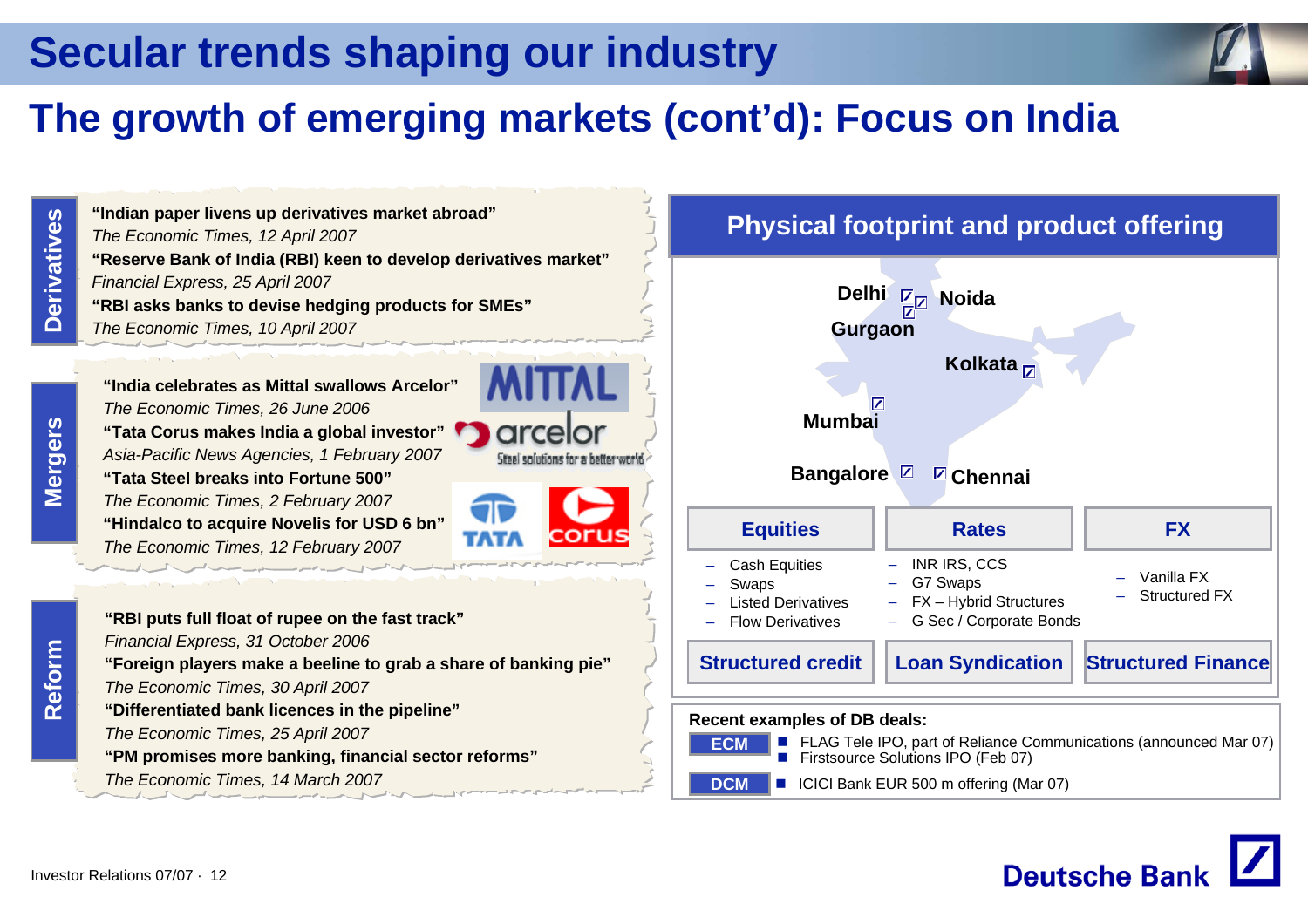## **The growth of emerging markets (cont'd): Focus on India**

**Derivatives Derivatives**

**"Reserve Bank of India (RBI) keen to develop derivatives market"** *Financial Express, 25 April 2007* **"RBI asks banks to devise hedging products for SMEs"** *The Economic Times, 10 April 2007* **"India celebrates as Mittal swallows Arcelor"***The Economic Times, 26 June 2006* **"Tata Corus makes India a global investor"** *Asia-Pacific News Agencies, 1 February 2007* **"Tata Steel breaks into Fortune 500"** *The Economic Times, 2 February 2007*

**"Indian paper livens up derivatives market abroad"**

*The Economic Times, 12 April 2007*

**"Hindalco to acquire Novelis for USD 6 bn"** *The Economic Times, 12 February 2007*

![](_page_11_Picture_8.jpeg)

#### **Physical footprint and product offering**

![](_page_11_Figure_10.jpeg)

**Deutsche Bank** 

![](_page_11_Figure_12.jpeg)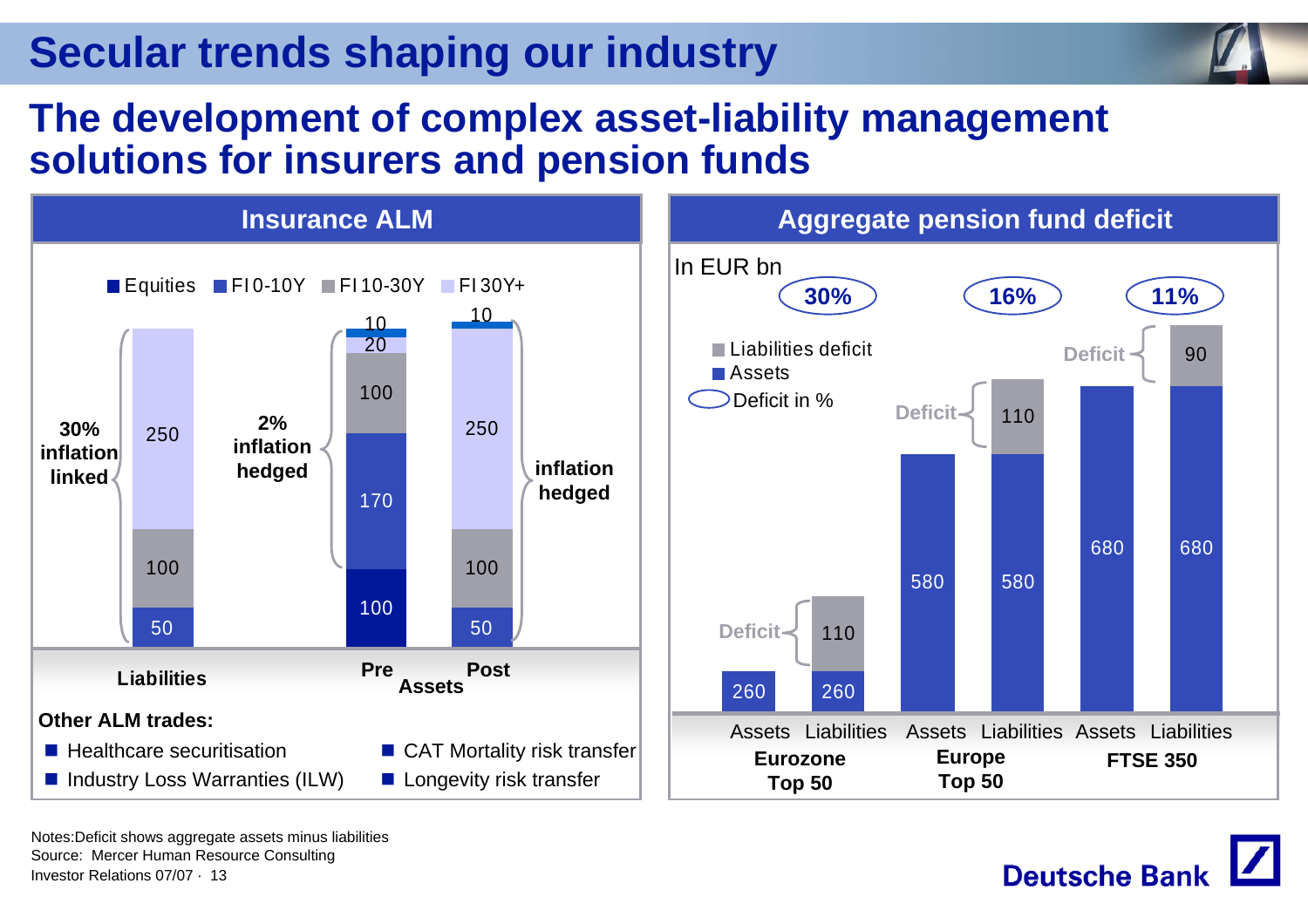![](_page_12_Picture_1.jpeg)

### **The development of complex asset-liability management solutions for insurers and pension funds**

![](_page_12_Figure_3.jpeg)

![](_page_12_Picture_5.jpeg)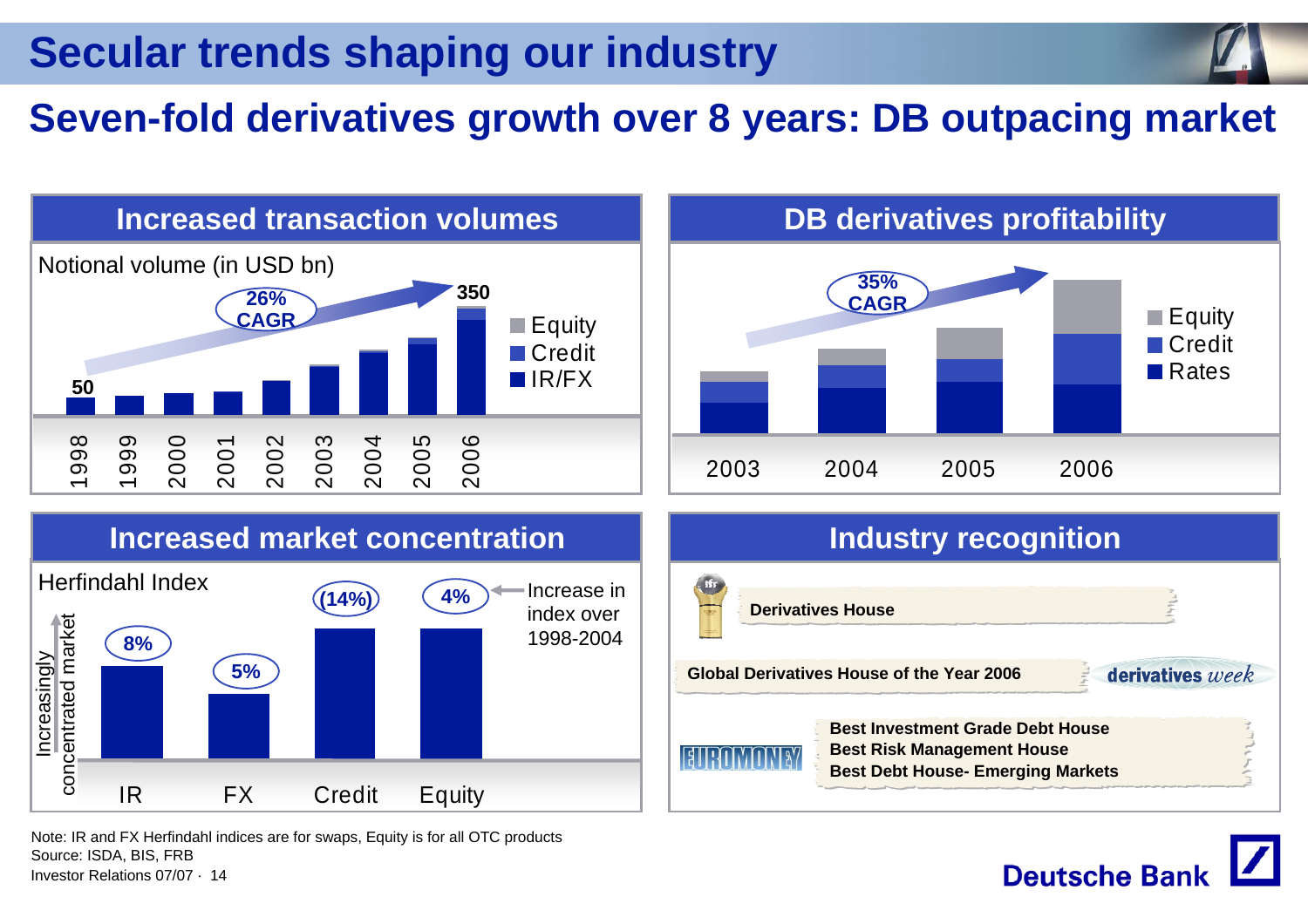## **Seven-fold derivatives growth over 8 years: DB outpacing market**

![](_page_13_Figure_2.jpeg)

**Deutsche Banl** 

Note: IR and FX Herfindahl indices are for swaps, Equity is for all OTC products Source: ISDA, BIS, FRB

Investor Relations 07/07 · 14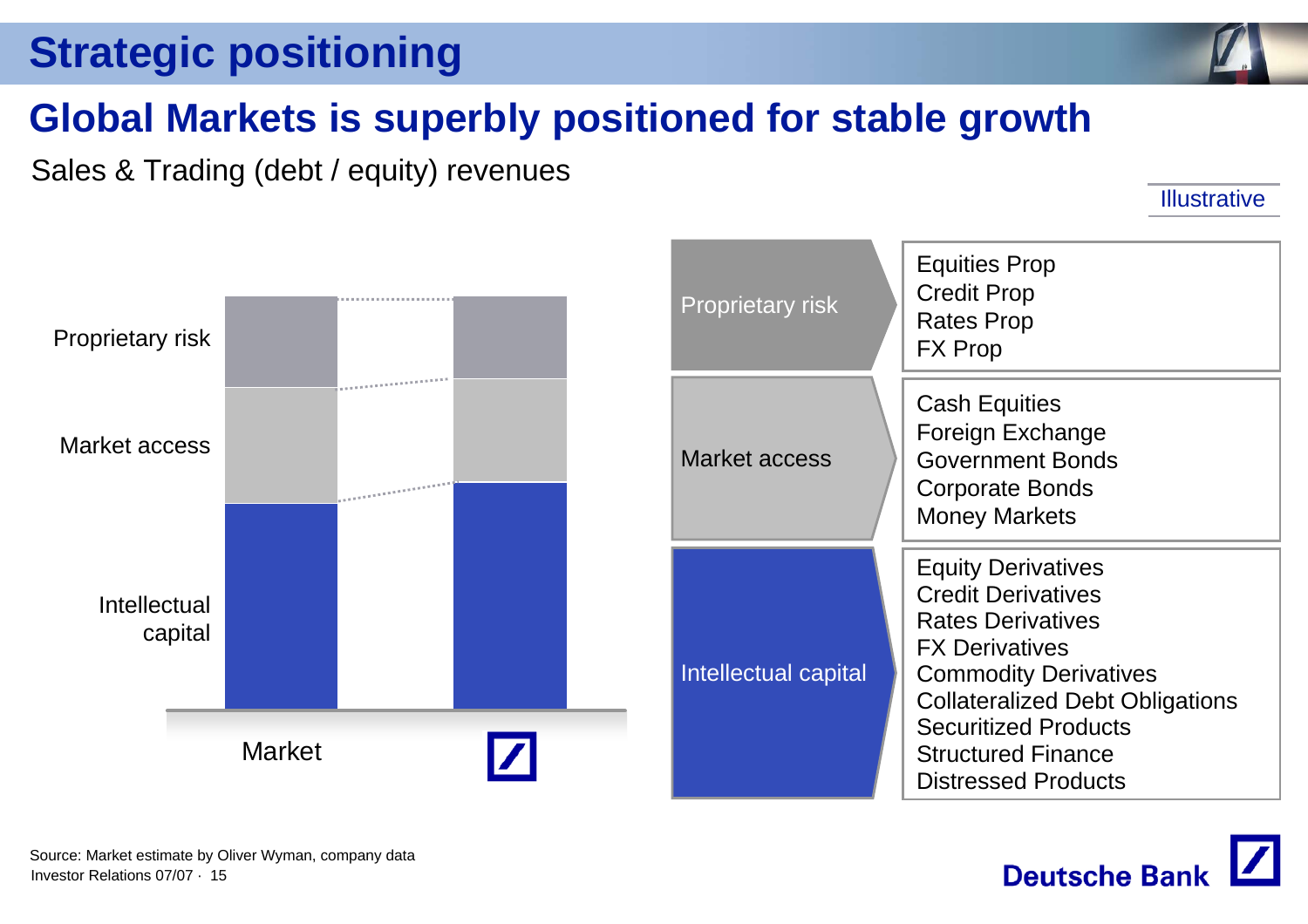## **Strategic positioning**

![](_page_14_Picture_1.jpeg)

## **Global Markets is superbly positioned for stable growth**

Sales & Trading (debt / equity) revenues

**Illustrative** 

![](_page_14_Figure_5.jpeg)

| <b>Proprietary risk</b> | <b>Equities Prop</b><br><b>Credit Prop</b><br><b>Rates Prop</b><br><b>FX Prop</b>                                                                                                                                                                                               |
|-------------------------|---------------------------------------------------------------------------------------------------------------------------------------------------------------------------------------------------------------------------------------------------------------------------------|
| Market access           | <b>Cash Equities</b><br>Foreign Exchange<br><b>Government Bonds</b><br><b>Corporate Bonds</b><br><b>Money Markets</b>                                                                                                                                                           |
| Intellectual capital    | <b>Equity Derivatives</b><br><b>Credit Derivatives</b><br><b>Rates Derivatives</b><br><b>FX Derivatives</b><br><b>Commodity Derivatives</b><br><b>Collateralized Debt Obligations</b><br><b>Securitized Products</b><br><b>Structured Finance</b><br><b>Distressed Products</b> |

![](_page_14_Picture_7.jpeg)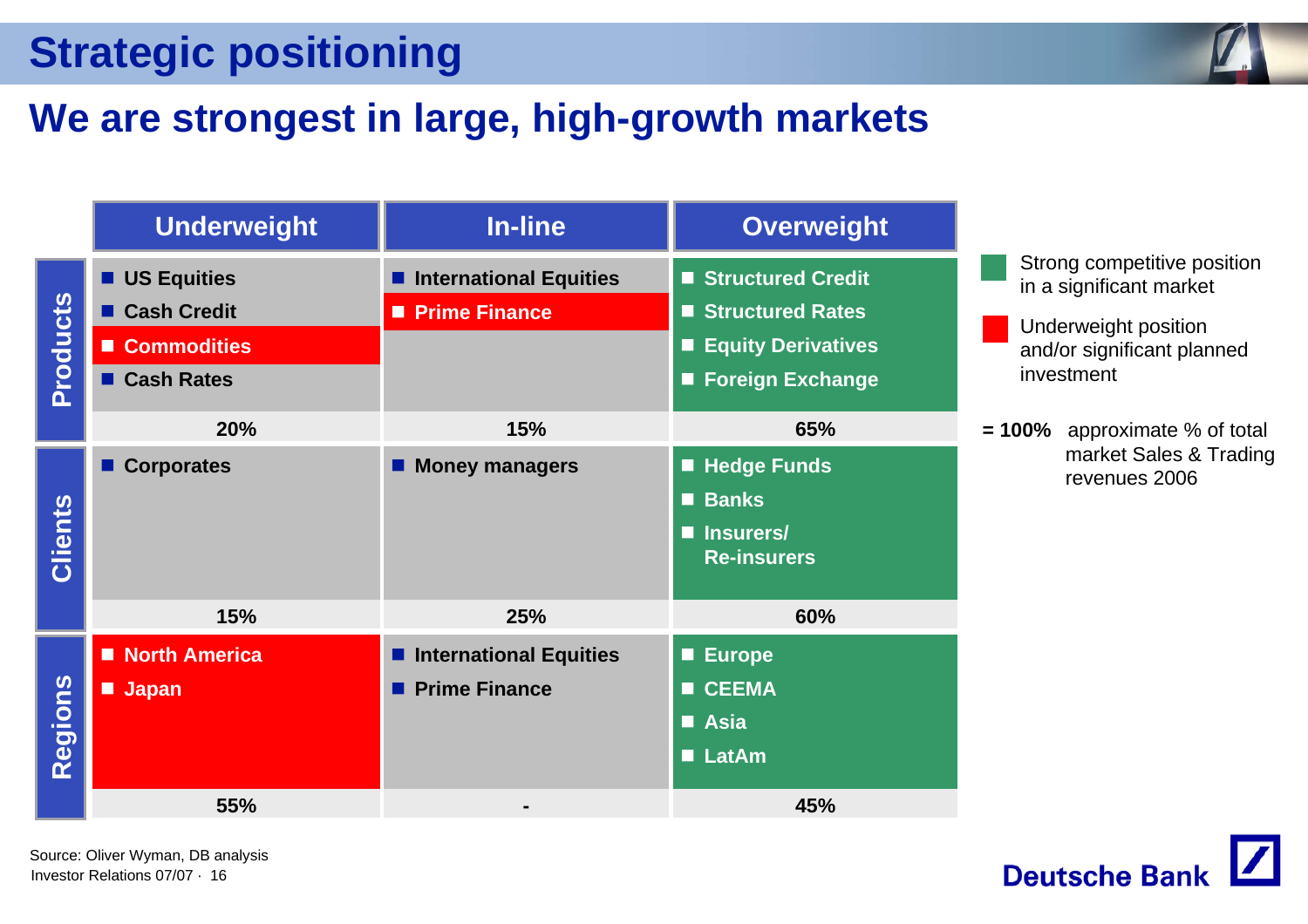# **Strategic positioning**

# **We are strongest in large, high-growth markets**

|                | <b>Underweight</b> | <b>In-line</b>                | <b>Overweight</b>              |  |
|----------------|--------------------|-------------------------------|--------------------------------|--|
|                | <b>US Equities</b> | <b>International Equities</b> | Structured Credit              |  |
|                | <b>Cash Credit</b> | Prime Finance                 | ■ Structured Rates             |  |
|                | ■ Commodities      |                               | <b>Equity Derivatives</b><br>П |  |
| Products       | ■ Cash Rates       |                               | <b>Foreign Exchange</b><br>П   |  |
|                | 20%                | 15%                           | 65%                            |  |
|                | <b>Corporates</b>  | <b>Money managers</b>         | <b>Hedge Funds</b><br>$\Box$   |  |
|                |                    |                               | <b>Banks</b><br>П              |  |
| <b>Clients</b> |                    |                               | Insurers/<br>П                 |  |
|                |                    |                               | <b>Re-insurers</b>             |  |
|                | 15%                | 25%                           | 60%                            |  |
|                | North America      | <b>International Equities</b> | <b>Europe</b><br>$\Box$        |  |
|                | <b>Japan</b>       | <b>Prime Finance</b>          | <b>CEEMA</b><br>$\blacksquare$ |  |
|                |                    |                               | <b>Asia</b>                    |  |
| Regions        |                    |                               | <b>LatAm</b>                   |  |
|                | 55%                |                               | 45%                            |  |

Investor Relations 07/07 · 16Source: Oliver Wyman, DB analysis

![](_page_15_Picture_4.jpeg)

- Underweight position and/or significant planned investment
- **= 100%** approximate % of total market Sales & Trading revenues 2006

![](_page_15_Picture_7.jpeg)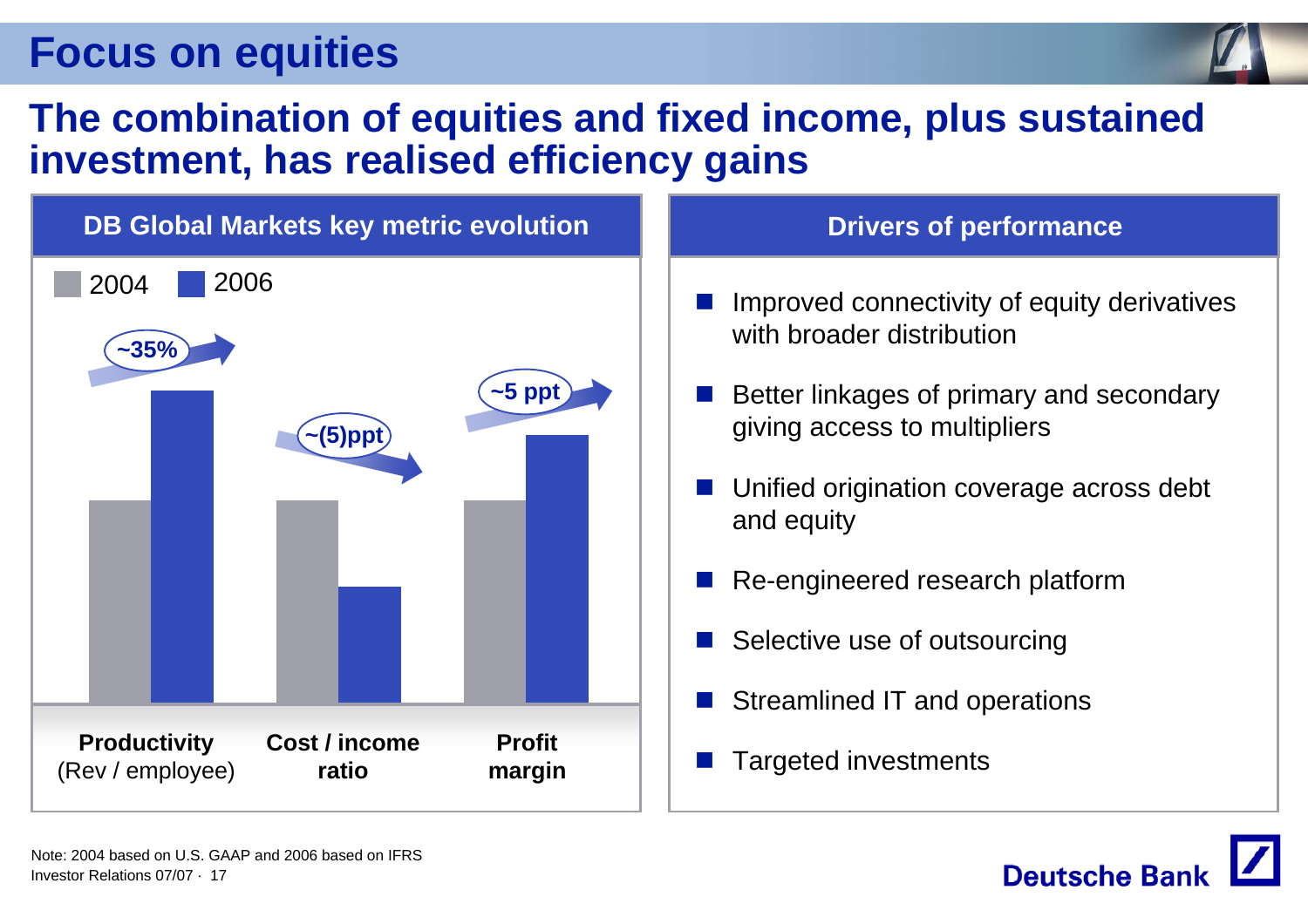![](_page_16_Picture_1.jpeg)

#### **The combination of equities and fixed income, plus sustained investment, has realised efficiency gains**

![](_page_16_Figure_3.jpeg)

- $\mathbb{R}^2$  Improved connectivity of equity derivatives with broader distribution
- $\mathbb{R}^2$  Better linkages of primary and secondary giving access to multipliers
- L. Unified origination coverage across debt and equity
- $\mathbb{R}^2$ Re-engineered research platform
- $\mathbb{R}^2$ Selective use of outsourcing
- $\mathbb{R}^2$ Streamlined IT and operations
- $\mathbb{R}^2$

![](_page_16_Picture_12.jpeg)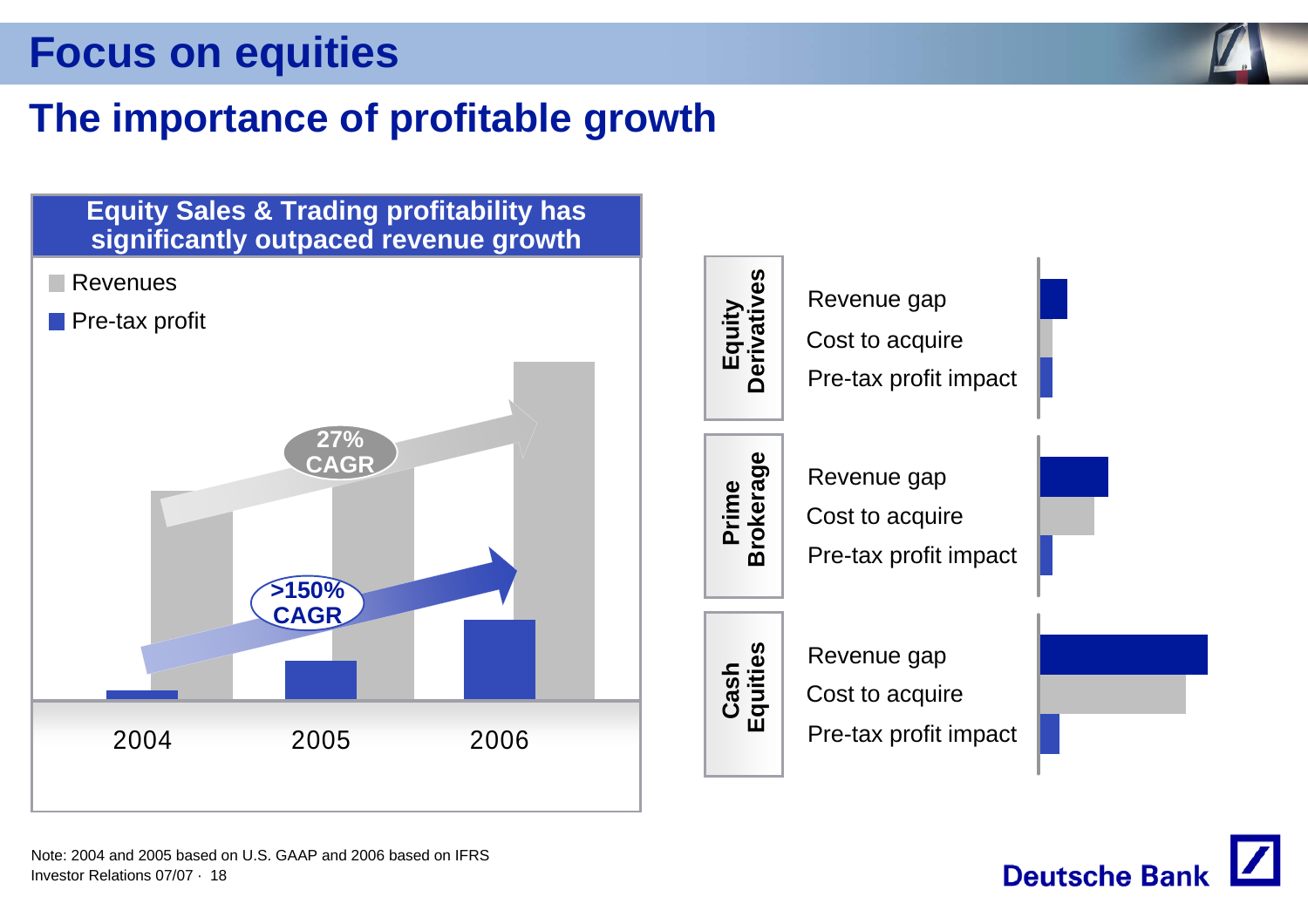![](_page_17_Picture_1.jpeg)

## **The importance of profitable growth**

![](_page_17_Figure_3.jpeg)

Investor Relations 07/07 · 18Note: 2004 and 2005 based on U.S. GAAP and 2006 based on IFRS

![](_page_17_Picture_5.jpeg)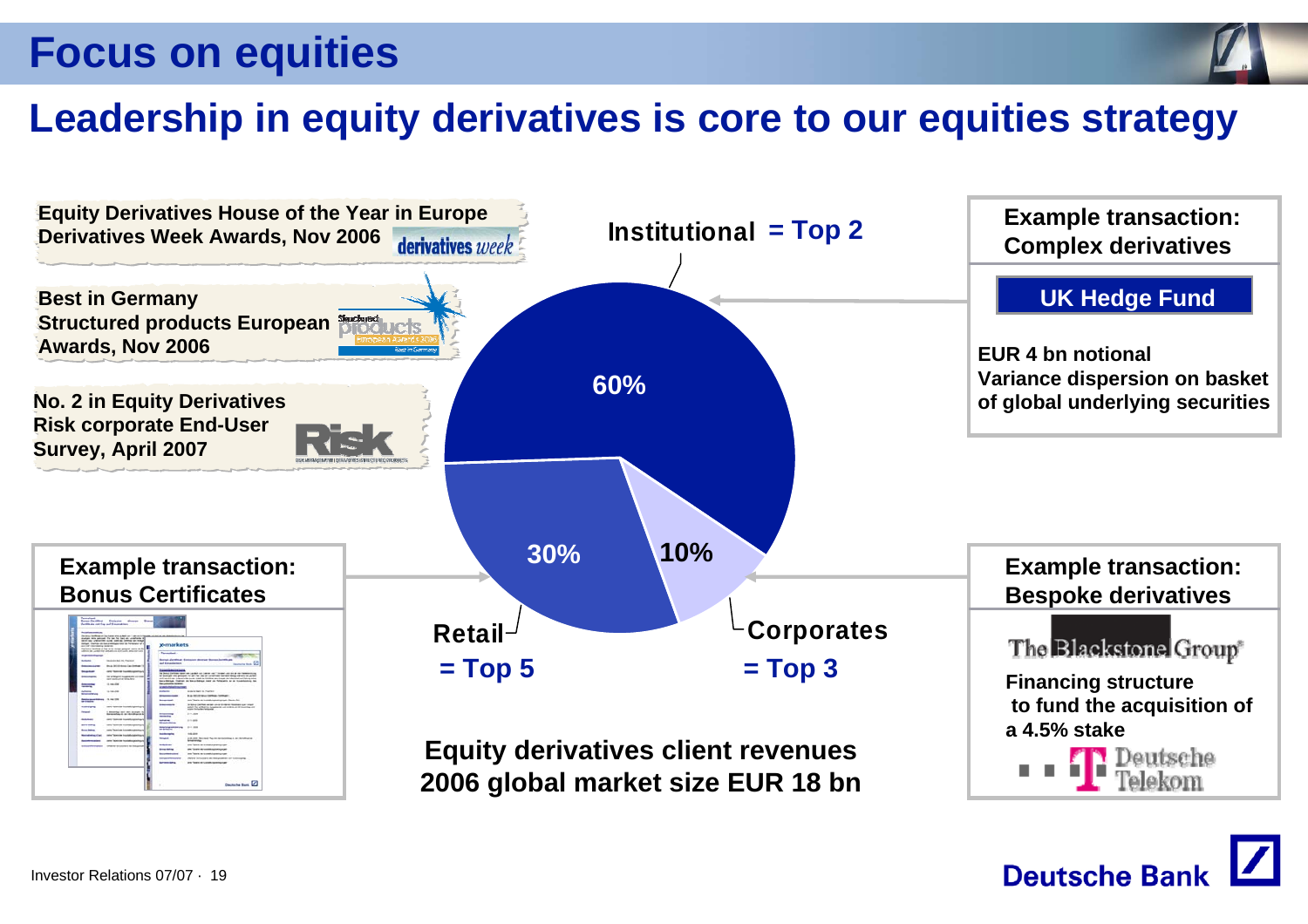![](_page_18_Picture_1.jpeg)

## **Leadership in equity derivatives is core to our equities strategy**

![](_page_18_Figure_3.jpeg)

![](_page_18_Picture_4.jpeg)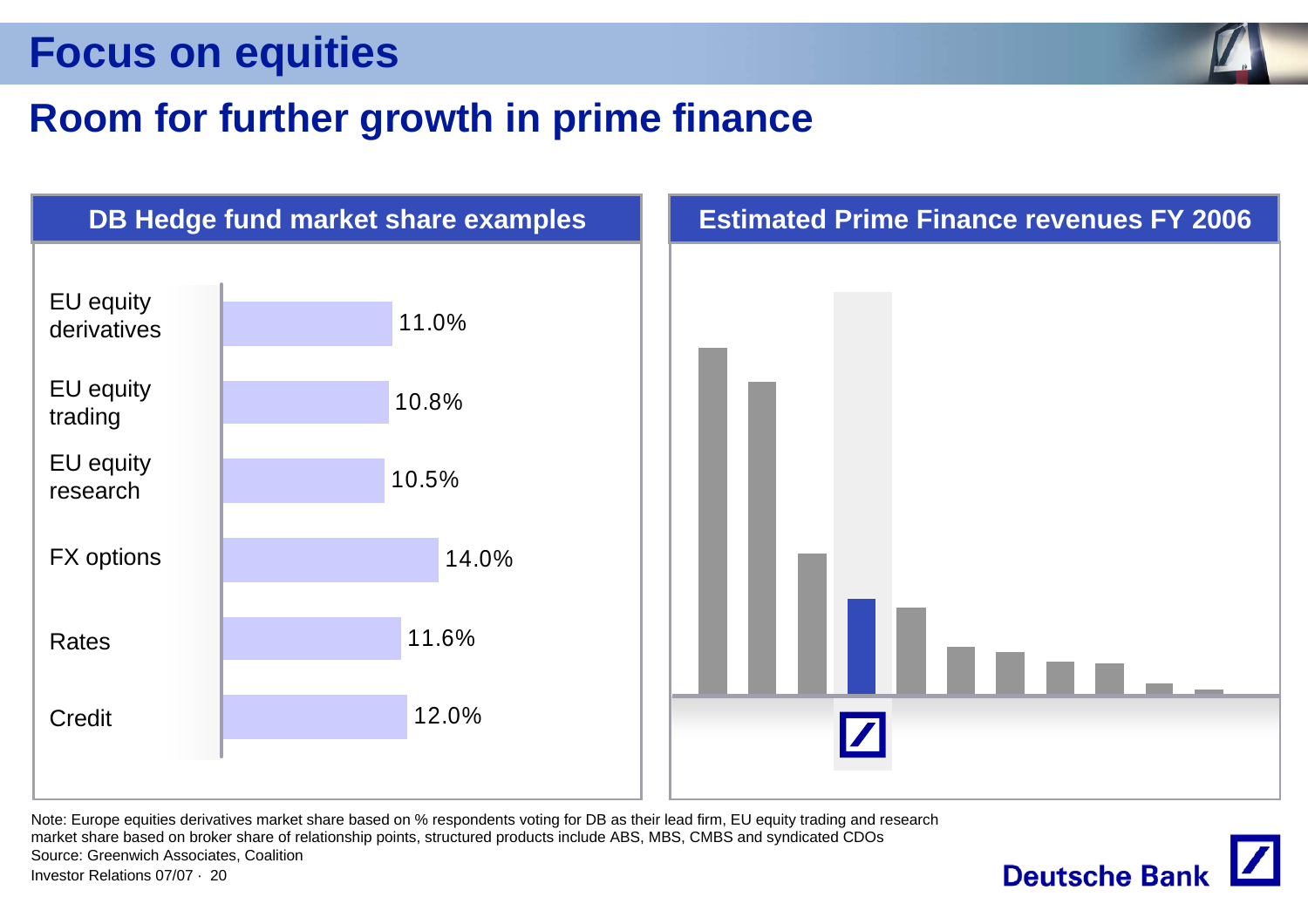![](_page_19_Picture_1.jpeg)

### **Room for further growth in prime finance**

![](_page_19_Figure_3.jpeg)

Investor Relations 07/07 · 20Note: Europe equities derivatives market share based on % respondents voting for DB as their lead firm, EU equity trading and research market share based on broker share of relationship points, structured products include ABS, MBS, CMBS and syndicated CDOs Source: Greenwich Associates, Coalition

![](_page_19_Picture_5.jpeg)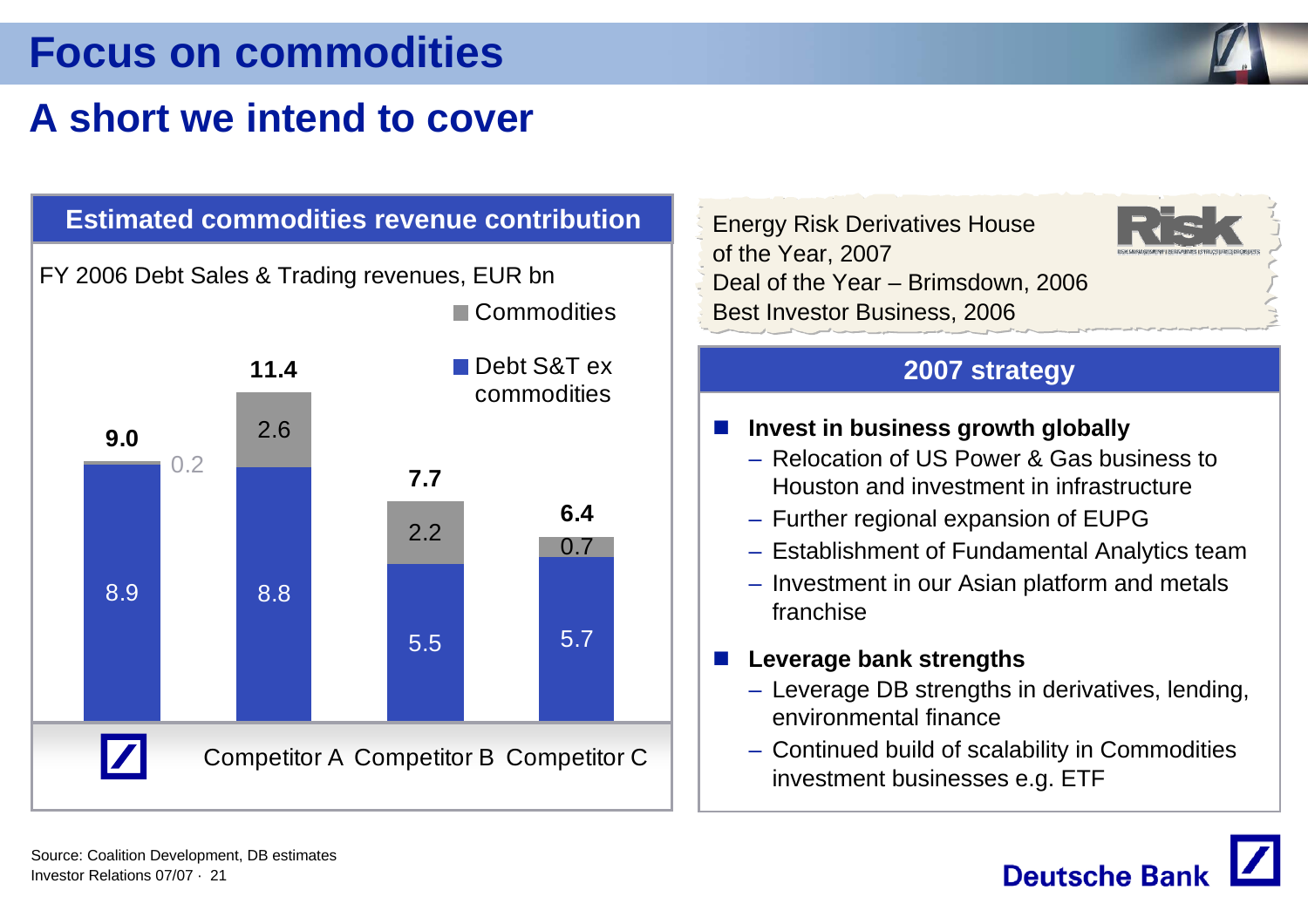## **Focus on commodities**

## **A short we intend to cover**

![](_page_20_Figure_2.jpeg)

Energy Risk Derivatives House of the Year, 2007 Deal of the Year – Brimsdown, 2006 Best Investor Business, 2006

![](_page_20_Picture_4.jpeg)

#### **2007 strategy**

- a se **Invest in business growth globally**
	- Relocation of US Power & Gas business to Houston and investment in infrastructure
	- Further regional expansion of EUPG
	- Establishment of Fundamental Analytics team
	- Investment in our Asian platform and metals franchise

#### **Leverage bank strengths**

- Leverage DB strengths in derivatives, lending, environmental finance
- Continued build of scalability in Commodities investment businesses e.g. ETF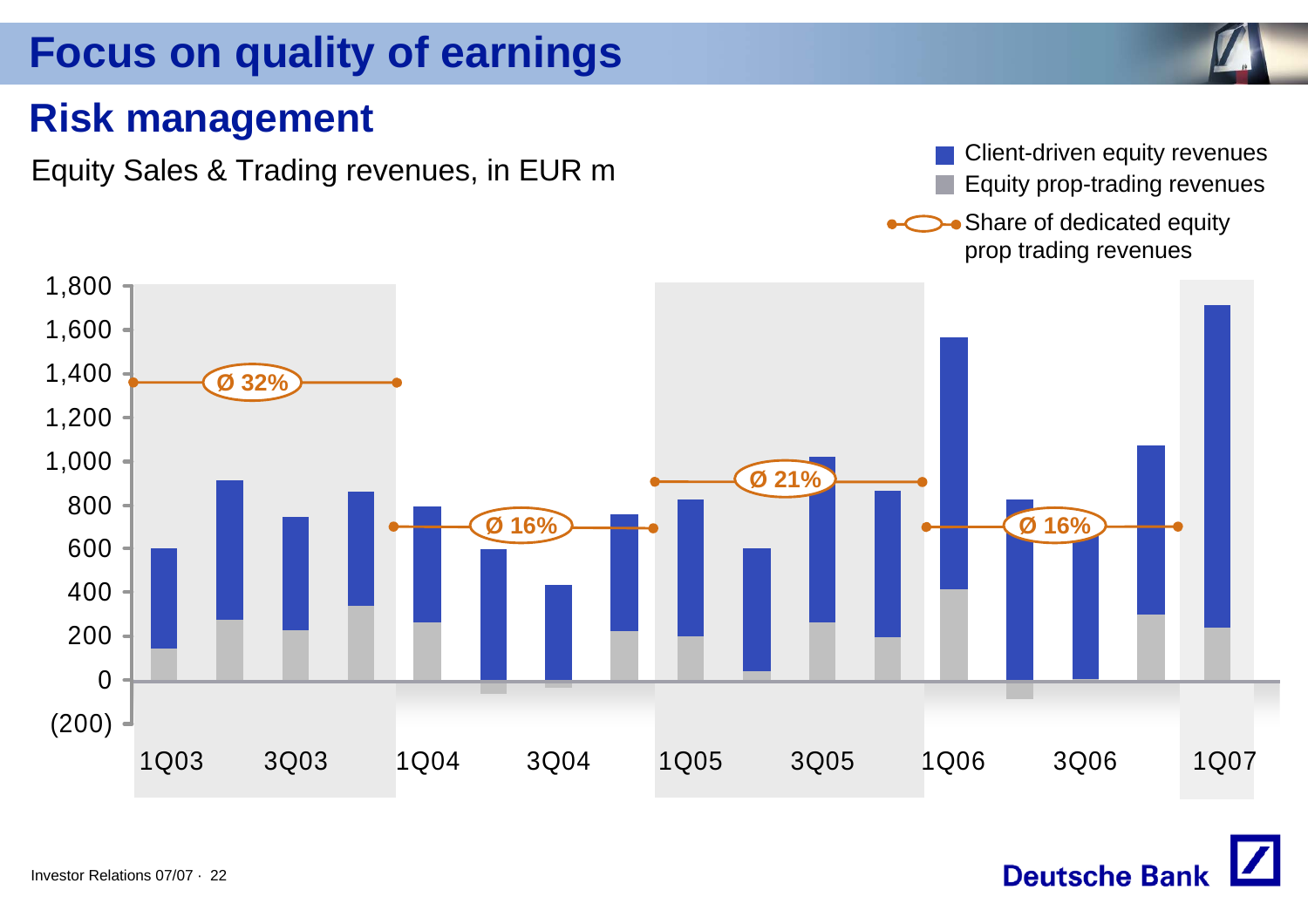## **Focus on quality of earnings**

### **Risk management**

Equity Sales & Trading revenues, in EUR m<br>Equity prop-trading revenues Equity prop-trading revenues

**Deutsche Bank** 

• Share of dedicated equity prop trading revenues

![](_page_21_Figure_6.jpeg)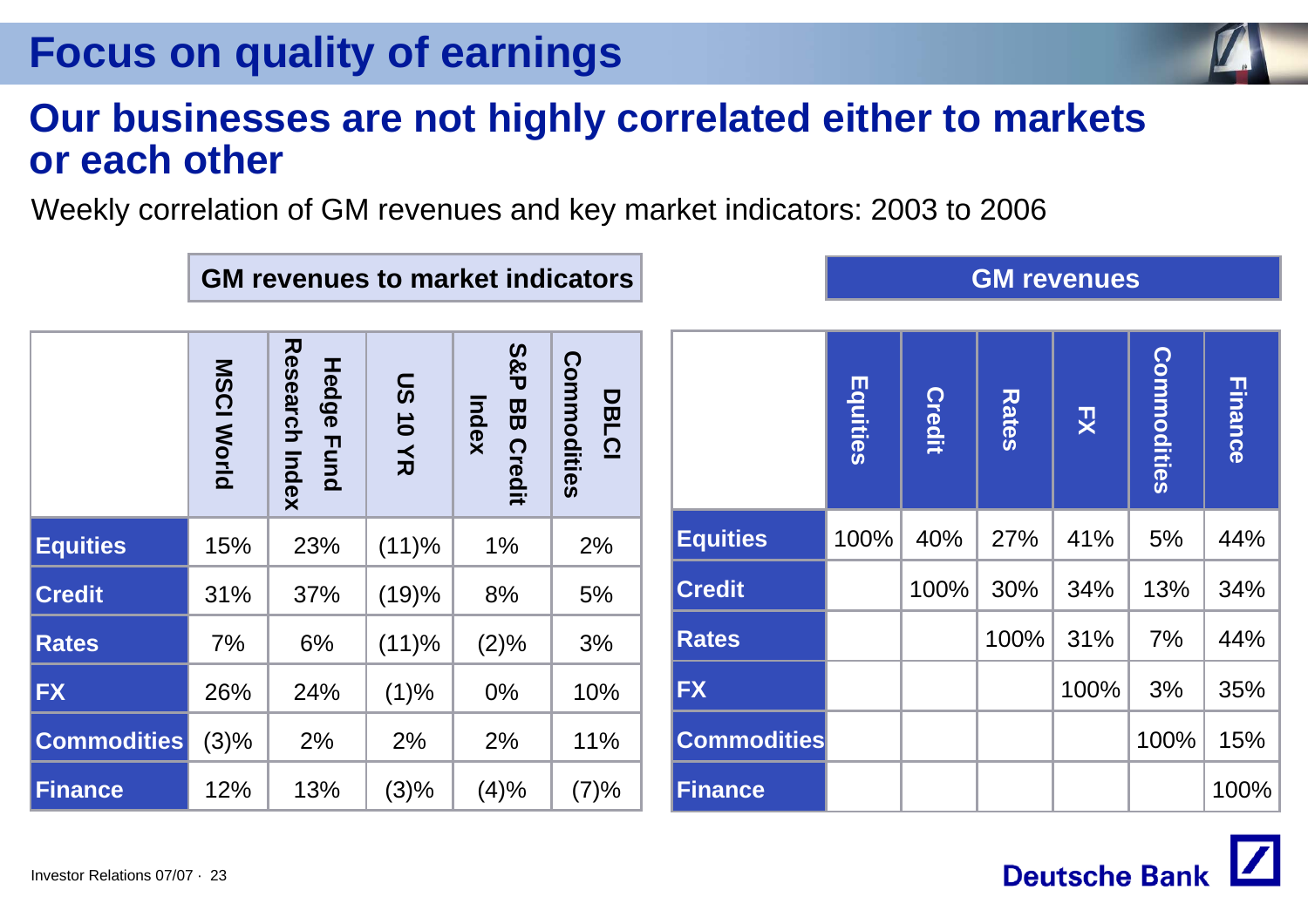## **Focus on quality of earnings**

### **Our businesses are not highly correlated either to markets or each other**

Weekly correlation of GM revenues and key market indicators: 2003 to 2006

|                    | <b>MSCI World</b> | <b>Research Index</b><br>Hedge Fund | <b>US10YR</b> | <b>S&amp;P</b><br>Index<br>88<br>Credit | Commodities<br><b>DBLCI</b> |
|--------------------|-------------------|-------------------------------------|---------------|-----------------------------------------|-----------------------------|
| <b>Equities</b>    | 15%               | 23%                                 | (11)%         | 1%                                      | 2%                          |
| <b>Credit</b>      | 31%               | 37%                                 | (19)%         | 8%                                      | 5%                          |
| <b>Rates</b>       | 7%                | 6%                                  | (11)%         | (2)%                                    | 3%                          |
| <b>FX</b>          | 26%               | 24%                                 | (1)%          | 0%                                      | 10%                         |
| <b>Commodities</b> | (3)%              | 2%                                  | 2%            | 2%                                      | 11%                         |
| <b>Finance</b>     | 12%               | 13%                                 | (3)%          | (4)%                                    | (7)%                        |

**GM revenues to market indicators**

![](_page_22_Figure_5.jpeg)

**GM revenues**

![](_page_22_Picture_6.jpeg)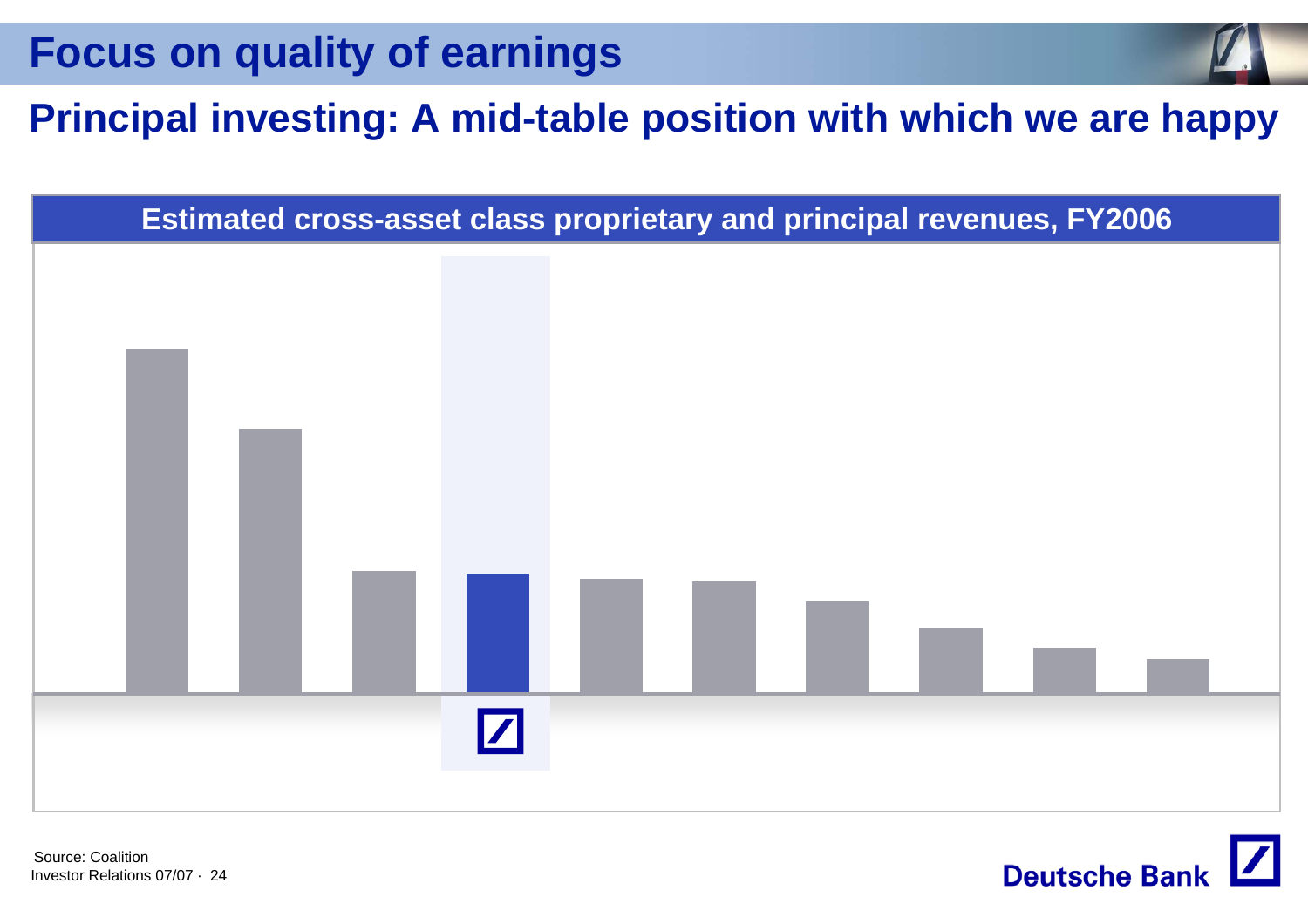**Focus on quality of earnings**

## **Principal investing: A mid-table position with which we are happy**

![](_page_23_Figure_2.jpeg)

**Deutsche Bank** 

Investor Relations 07/07 · 24Source: Coalition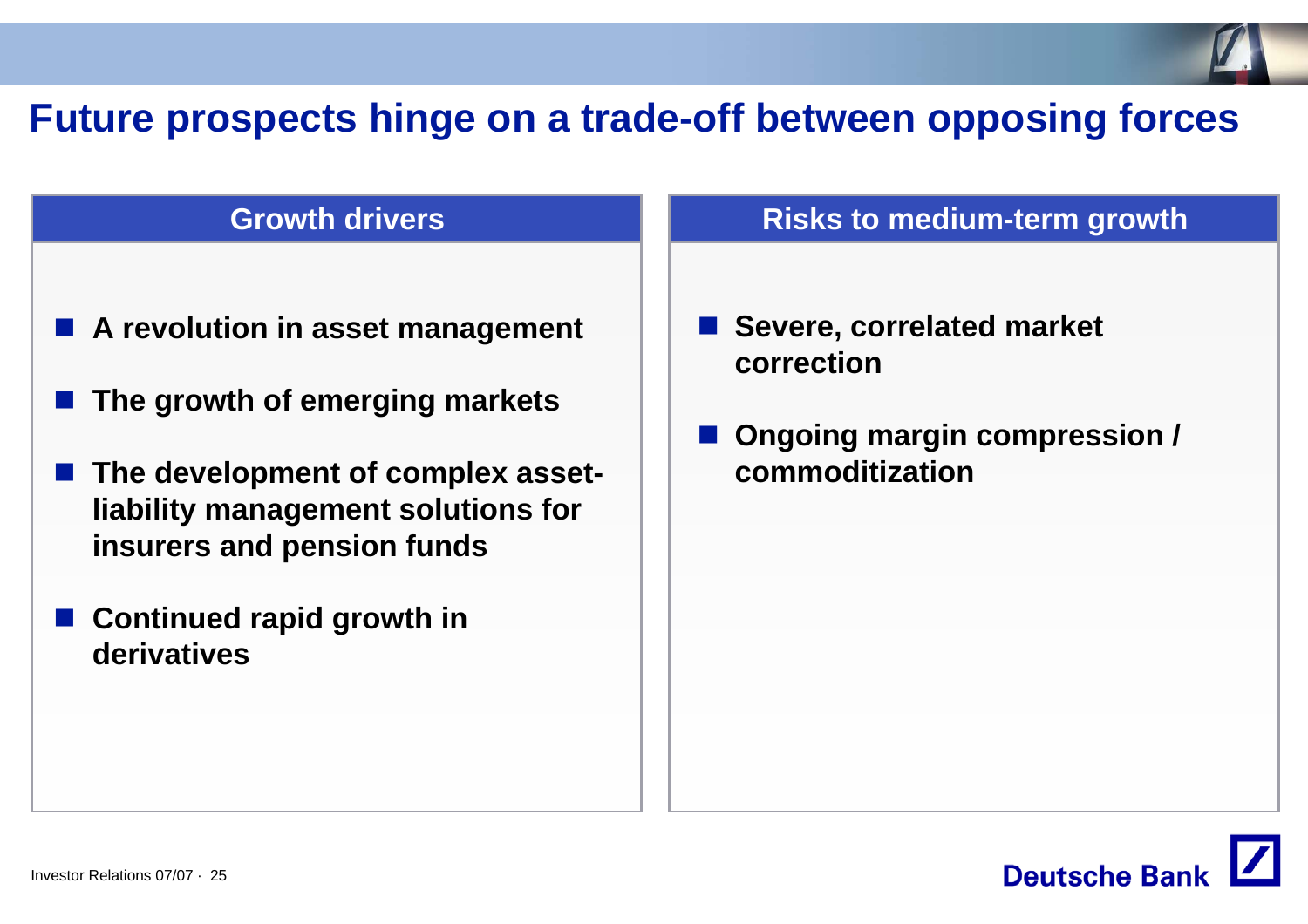## **Future prospects hinge on a trade-off between opposing forces**

#### **Growth drivers**

- **A revolution in asset management**
- **The growth of emerging markets**
- The development of complex asset**liability management solutions for insurers and pension funds**
- **Continued rapid growth in derivatives**

#### **Risks to medium-term growth**

- Severe, correlated market **correction**
- **Ongoing margin compression / commoditization**

![](_page_24_Picture_9.jpeg)